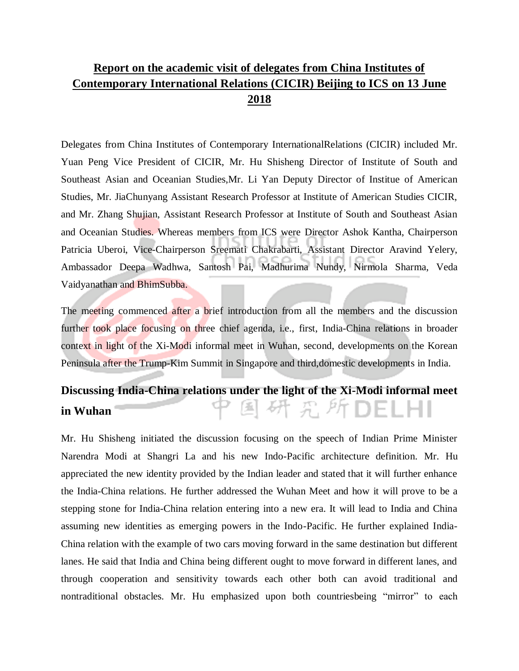## **Report on the academic visit of delegates from China Institutes of Contemporary International Relations (CICIR) Beijing to ICS on 13 June 2018**

Delegates from China Institutes of Contemporary InternationalRelations (CICIR) included Mr. Yuan Peng Vice President of CICIR, Mr. Hu Shisheng Director of Institute of South and Southeast Asian and Oceanian Studies,Mr. Li Yan Deputy Director of Institue of American Studies, Mr. JiaChunyang Assistant Research Professor at Institute of American Studies CICIR, and Mr. Zhang Shujian, Assistant Research Professor at Institute of South and Southeast Asian and Oceanian Studies. Whereas members from ICS were Director Ashok Kantha, Chairperson Patricia Uberoi, Vice-Chairperson Sreemati Chakrabarti, Assistant Director Aravind Yelery, Ambassador Deepa Wadhwa, Santosh Pai, Madhurima Nundy, Nirmola Sharma, Veda Vaidyanathan and BhimSubba.

The meeting commenced after a brief introduction from all the members and the discussion further took place focusing on three chief agenda, i.e., first, India-China relations in broader context in light of the Xi-Modi informal meet in Wuhan, second, developments on the Korean Peninsula after the Trump-Kim Summit in Singapore and third,domestic developments in India.

## **Discussing India-China relations under the light of the Xi-Modi informal meet**  中国研究所DELHI **in Wuhan**

Mr. Hu Shisheng initiated the discussion focusing on the speech of Indian Prime Minister Narendra Modi at Shangri La and his new Indo-Pacific architecture definition. Mr. Hu appreciated the new identity provided by the Indian leader and stated that it will further enhance the India-China relations. He further addressed the Wuhan Meet and how it will prove to be a stepping stone for India-China relation entering into a new era. It will lead to India and China assuming new identities as emerging powers in the Indo-Pacific. He further explained India-China relation with the example of two cars moving forward in the same destination but different lanes. He said that India and China being different ought to move forward in different lanes, and through cooperation and sensitivity towards each other both can avoid traditional and nontraditional obstacles. Mr. Hu emphasized upon both countriesbeing "mirror" to each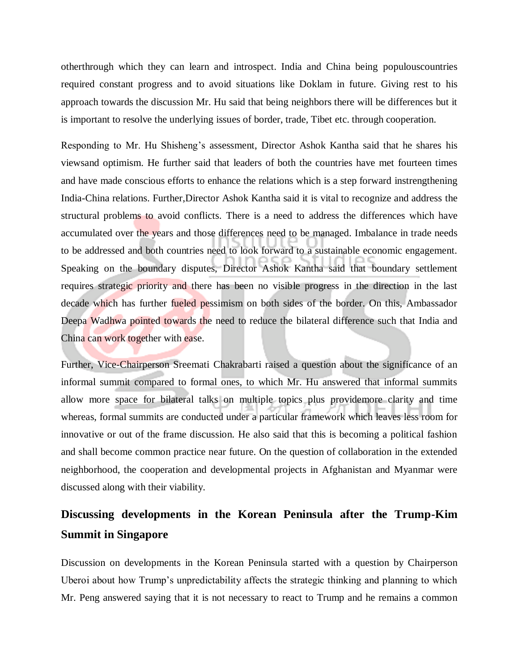otherthrough which they can learn and introspect. India and China being populouscountries required constant progress and to avoid situations like Doklam in future. Giving rest to his approach towards the discussion Mr. Hu said that being neighbors there will be differences but it is important to resolve the underlying issues of border, trade, Tibet etc. through cooperation.

Responding to Mr. Hu Shisheng's assessment, Director Ashok Kantha said that he shares his viewsand optimism. He further said that leaders of both the countries have met fourteen times and have made conscious efforts to enhance the relations which is a step forward instrengthening India-China relations. Further,Director Ashok Kantha said it is vital to recognize and address the structural problems to avoid conflicts. There is a need to address the differences which have accumulated over the years and those differences need to be managed. Imbalance in trade needs to be addressed and both countries need to look forward to a sustainable economic engagement. Speaking on the boundary disputes, Director Ashok Kantha said that boundary settlement requires strategic priority and there has been no visible progress in the direction in the last decade which has further fueled pessimism on both sides of the border. On this, Ambassador Deepa Wadhwa pointed towards the need to reduce the bilateral difference such that India and China can work together with ease.

Further, Vice-Chairperson Sreemati Chakrabarti raised a question about the significance of an informal summit compared to formal ones, to which Mr. Hu answered that informal summits allow more space for bilateral talks on multiple topics plus providemore clarity and time whereas, formal summits are conducted under a particular framework which leaves less room for innovative or out of the frame discussion. He also said that this is becoming a political fashion and shall become common practice near future. On the question of collaboration in the extended neighborhood, the cooperation and developmental projects in Afghanistan and Myanmar were discussed along with their viability.

## **Discussing developments in the Korean Peninsula after the Trump-Kim Summit in Singapore**

Discussion on developments in the Korean Peninsula started with a question by Chairperson Uberoi about how Trump's unpredictability affects the strategic thinking and planning to which Mr. Peng answered saying that it is not necessary to react to Trump and he remains a common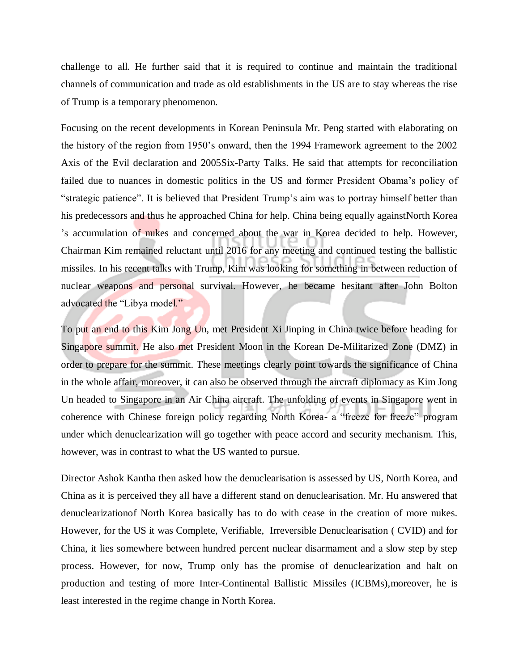challenge to all. He further said that it is required to continue and maintain the traditional channels of communication and trade as old establishments in the US are to stay whereas the rise of Trump is a temporary phenomenon.

Focusing on the recent developments in Korean Peninsula Mr. Peng started with elaborating on the history of the region from 1950's onward, then the 1994 Framework agreement to the 2002 Axis of the Evil declaration and 2005Six-Party Talks. He said that attempts for reconciliation failed due to nuances in domestic politics in the US and former President Obama's policy of "strategic patience". It is believed that President Trump's aim was to portray himself better than his predecessors and thus he approached China for help. China being equally againstNorth Korea 's accumulation of nukes and concerned about the war in Korea decided to help. However, Chairman Kim remained reluctant until 2016 for any meeting and continued testing the ballistic missiles. In his recent talks with Trump, Kim was looking for something in between reduction of nuclear weapons and personal survival. However, he became hesitant after John Bolton advocated the "Libya model."

To put an end to this Kim Jong Un, met President Xi Jinping in China twice before heading for Singapore summit. He also met President Moon in the Korean De-Militarized Zone (DMZ) in order to prepare for the summit. These meetings clearly point towards the significance of China in the whole affair, moreover, it can also be observed through the aircraft diplomacy as Kim Jong Un headed to Singapore in an Air China aircraft. The unfolding of events in Singapore went in coherence with Chinese foreign policy regarding North Korea- a "freeze for freeze" program under which denuclearization will go together with peace accord and security mechanism. This, however, was in contrast to what the US wanted to pursue.

Director Ashok Kantha then asked how the denuclearisation is assessed by US, North Korea, and China as it is perceived they all have a different stand on denuclearisation. Mr. Hu answered that denuclearizationof North Korea basically has to do with cease in the creation of more nukes. However, for the US it was Complete, Verifiable, Irreversible Denuclearisation ( CVID) and for China, it lies somewhere between hundred percent nuclear disarmament and a slow step by step process. However, for now, Trump only has the promise of denuclearization and halt on production and testing of more Inter-Continental Ballistic Missiles (ICBMs),moreover, he is least interested in the regime change in North Korea.